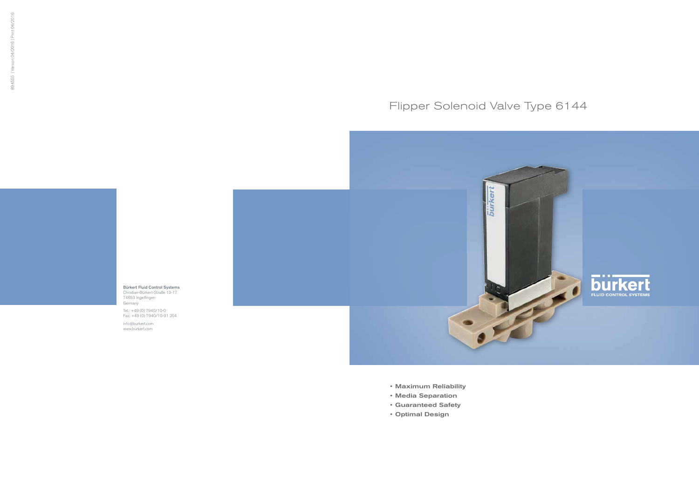- • Maximum Reliability
- • Media Separation
- • Guaranteed Safety
- • Optimal Design

# Flipper Solenoid Valve Type 6144



Bürkert Fluid Control Systems Christian-Bürkert-Straße 13-17 74653 Ingelfingen Germany

Tel.: +49 (0) 7940/10-0 Fax: +49 (0) 7940/10-91 204

info@burkert.com www.burkert.com